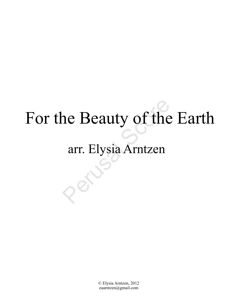## For the Beauty of the Earth e Beauty of the arr. Elysia Arntzen

## arr. Elysia Arntzen

© Elysia Arntzen, 2012 eaarntzen@gmail.com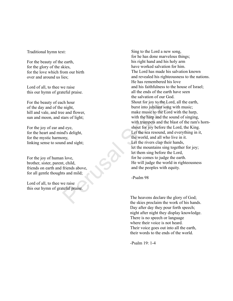Traditional hymn text:

For the beauty of the earth, for the glory of the skies, for the love which from our birth over and around us lies;

Lord of all, to thee we raise this our hymn of grateful praise.

For the beauty of each hour of the day and of the night, hill and vale, and tree and flower, sun and moon, and stars of light;

For the joy of ear and eye, for the heart and mind's delight, for the mystic harmony, linking sense to sound and sight;

For the joy of human love, brother, sister, parent, child, friends on earth and friends above, for all gentle thoughts and mild;

Lord of all, to thee we raise this our hymn of grateful praise.

Sing to the Lord a new song, for he has done marvelous things; his right hand and his holy arm have worked salvation for him. The Lord has made his salvation known and revealed his righteousness to the nations. He has remembered his love and his faithfulness to the house of Israel; all the ends of the earth have seen the salvation of our God. Shout for joy to the Lord, all the earth, burst into jubilant song with music; make music to the Lord with the harp, with the harp and the sound of singing, with trumpets and the blast of the ram's hornshout for joy before the Lord, the King. Let the sea resound, and everything in it, the world, and all who live in it. Let the rivers clap their hands, let the mountains sing together for joy; let them sing before the Lord, for he comes to judge the earth. He will judge the world in righteousness and the peoples with equity. Example the same spectral principal of the set of the set of the set of the set of the set of the set of the set of the set of the set of the set of the set of the set of the set of the set of the set of the set of the set

-Psalm 98

The heavens declare the glory of God; the skies proclaim the work of his hands. Day after day they pour forth speech; night after night they display knowledge. There is no speech or language where their voice is not heard. Their voice goes out into all the earth, their words to the ends of the world.

-Psalm 19: 1-4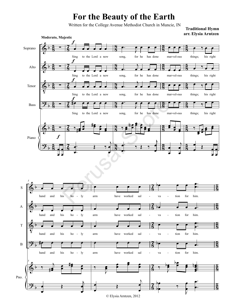## **For the Beauty of the Earth**

Written for the College Avenue Methodist Church in Muncie, IN

**Traditional Hymn arr. Elysia Arntzen**



<sup>©</sup> Elysia Arntzen, 2012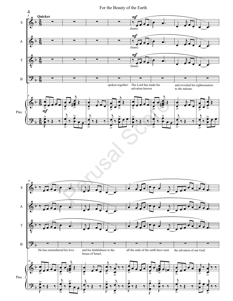

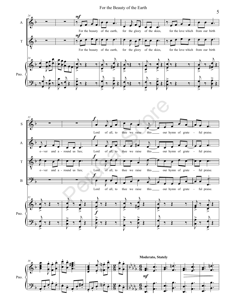For the Beauty of the Earth



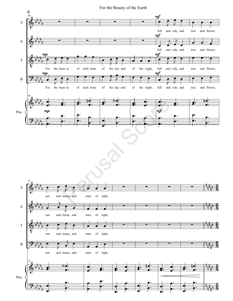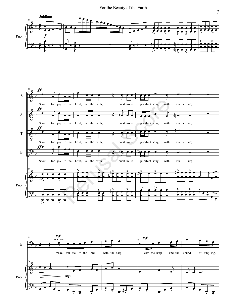



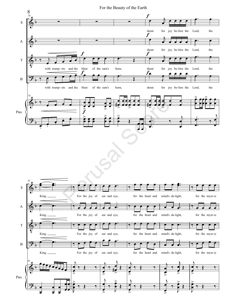

For the Beauty of the Earth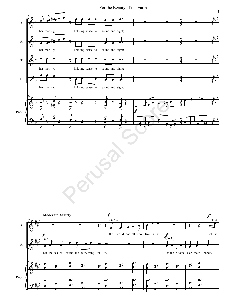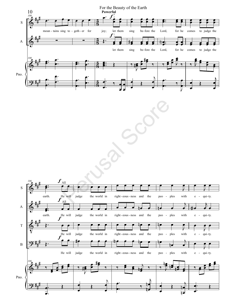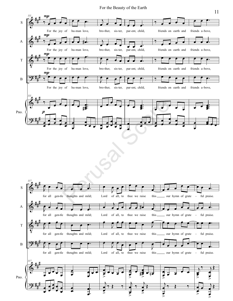For the Beauty of the Earth 11



 $\frac{1}{2}$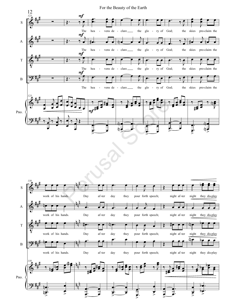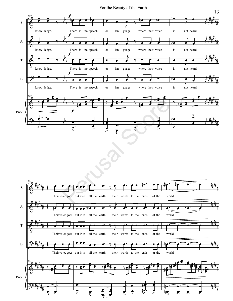

 $\ddot{\phantom{1}}$